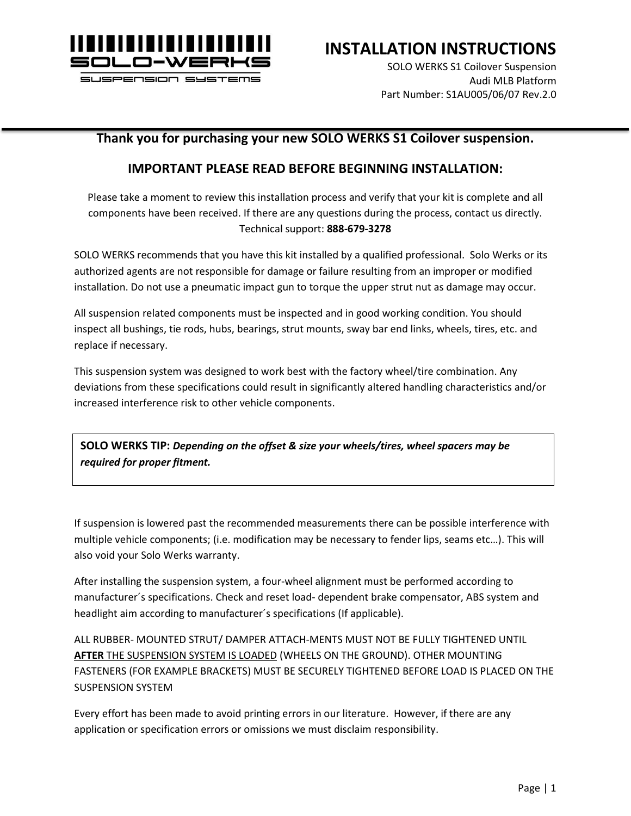

### **INSTALLATION INSTRUCTIONS**

SOLO WERKS S1 Coilover Suspension Audi MLB Platform Part Number: S1AU005/06/07 Rev.2.0

### **Thank you for purchasing your new SOLO WERKS S1 Coilover suspension.**

### **IMPORTANT PLEASE READ BEFORE BEGINNING INSTALLATION:**

Please take a moment to review this installation process and verify that your kit is complete and all components have been received. If there are any questions during the process, contact us directly. Technical support: **888-679-3278**

SOLO WERKS recommends that you have this kit installed by a qualified professional. Solo Werks or its authorized agents are not responsible for damage or failure resulting from an improper or modified installation. Do not use a pneumatic impact gun to torque the upper strut nut as damage may occur.

All suspension related components must be inspected and in good working condition. You should inspect all bushings, tie rods, hubs, bearings, strut mounts, sway bar end links, wheels, tires, etc. and replace if necessary.

This suspension system was designed to work best with the factory wheel/tire combination. Any deviations from these specifications could result in significantly altered handling characteristics and/or increased interference risk to other vehicle components.

**SOLO WERKS TIP:** *Depending on the offset & size your wheels/tires, wheel spacers may be required for proper fitment.*

If suspension is lowered past the recommended measurements there can be possible interference with multiple vehicle components; (i.e. modification may be necessary to fender lips, seams etc…). This will also void your Solo Werks warranty.

After installing the suspension system, a four-wheel alignment must be performed according to manufacturer´s specifications. Check and reset load- dependent brake compensator, ABS system and headlight aim according to manufacturer´s specifications (If applicable).

ALL RUBBER- MOUNTED STRUT/ DAMPER ATTACH-MENTS MUST NOT BE FULLY TIGHTENED UNTIL **AFTER** THE SUSPENSION SYSTEM IS LOADED (WHEELS ON THE GROUND). OTHER MOUNTING FASTENERS (FOR EXAMPLE BRACKETS) MUST BE SECURELY TIGHTENED BEFORE LOAD IS PLACED ON THE SUSPENSION SYSTEM

Every effort has been made to avoid printing errors in our literature. However, if there are any application or specification errors or omissions we must disclaim responsibility.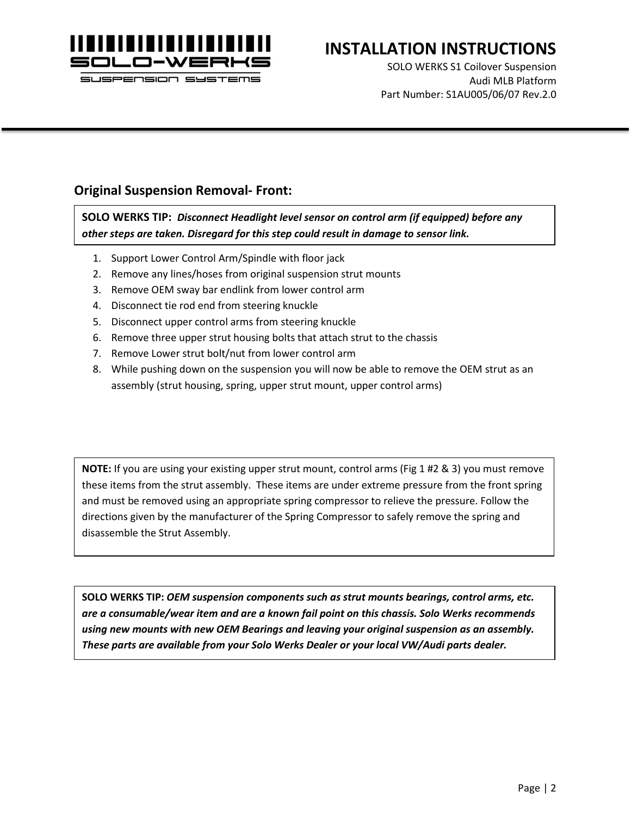

# **INSTALLATION INSTRUCTIONS**

SOLO WERKS S1 Coilover Suspension Audi MLB Platform Part Number: S1AU005/06/07 Rev.2.0

### **Original Suspension Removal- Front:**

**SOLO WERKS TIP:** *Disconnect Headlight level sensor on control arm (if equipped) before any other steps are taken. Disregard for this step could result in damage to sensor link.*

- 1. Support Lower Control Arm/Spindle with floor jack
- 2. Remove any lines/hoses from original suspension strut mounts
- 3. Remove OEM sway bar endlink from lower control arm
- 4. Disconnect tie rod end from steering knuckle
- 5. Disconnect upper control arms from steering knuckle
- 6. Remove three upper strut housing bolts that attach strut to the chassis
- 7. Remove Lower strut bolt/nut from lower control arm
- 8. While pushing down on the suspension you will now be able to remove the OEM strut as an assembly (strut housing, spring, upper strut mount, upper control arms)

**NOTE:** If you are using your existing upper strut mount, control arms (Fig 1 #2 & 3) you must remove these items from the strut assembly. These items are under extreme pressure from the front spring and must be removed using an appropriate spring compressor to relieve the pressure. Follow the directions given by the manufacturer of the Spring Compressor to safely remove the spring and disassemble the Strut Assembly.

**SOLO WERKS TIP:** *OEM suspension components such as strut mounts bearings, control arms, etc. are a consumable/wear item and are a known fail point on this chassis. Solo Werks recommends using new mounts with new OEM Bearings and leaving your original suspension as an assembly. These parts are available from your Solo Werks Dealer or your local VW/Audi parts dealer.*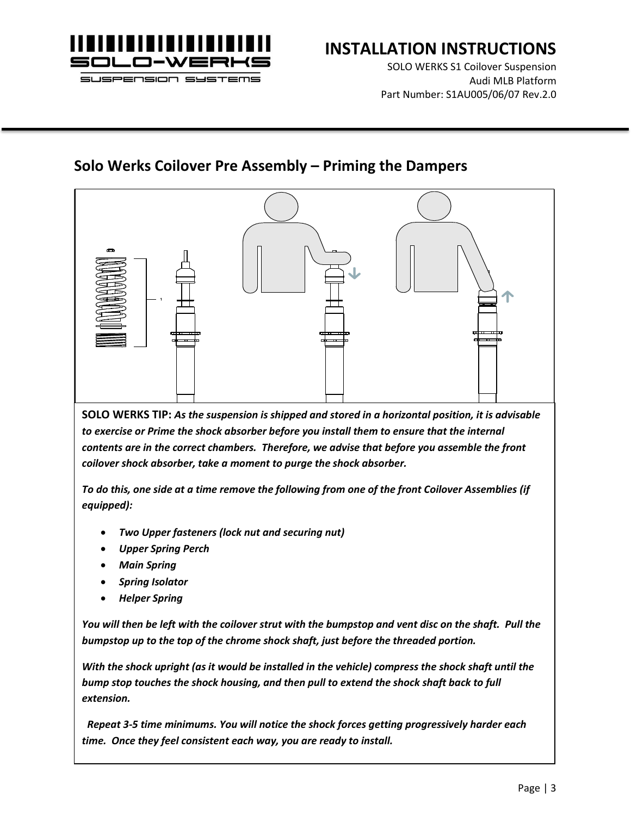

# **INSTALLATION INSTRUCTIONS**

SOLO WERKS S1 Coilover Suspension Audi MLB Platform Part Number: S1AU005/06/07 Rev.2.0

### **Solo Werks Coilover Pre Assembly – Priming the Dampers**



**SOLO WERKS TIP:** *As the suspension is shipped and stored in a horizontal position, it is advisable to exercise or Prime the shock absorber before you install them to ensure that the internal contents are in the correct chambers. Therefore, we advise that before you assemble the front coilover shock absorber, take a moment to purge the shock absorber.* 

*To do this, one side at a time remove the following from one of the front Coilover Assemblies (if equipped):*

- *Two Upper fasteners (lock nut and securing nut)*
- *Upper Spring Perch*
- *Main Spring*
- *Spring Isolator*
- *Helper Spring*

*You will then be left with the coilover strut with the bumpstop and vent disc on the shaft. Pull the bumpstop up to the top of the chrome shock shaft, just before the threaded portion.* 

*With the shock upright (as it would be installed in the vehicle) compress the shock shaft until the bump stop touches the shock housing, and then pull to extend the shock shaft back to full extension.*

 *Repeat 3-5 time minimums. You will notice the shock forces getting progressively harder each time. Once they feel consistent each way, you are ready to install.*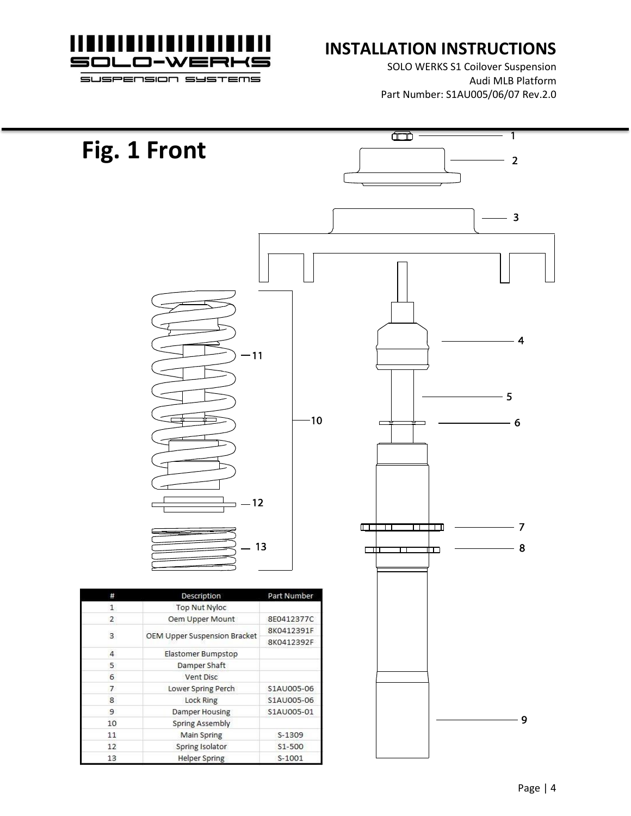

## **INSTALLATION INSTRUCTIONS**

SOLO WERKS S1 Coilover Suspension Audi MLB Platform Part Number: S1AU005/06/07 Rev.2.0

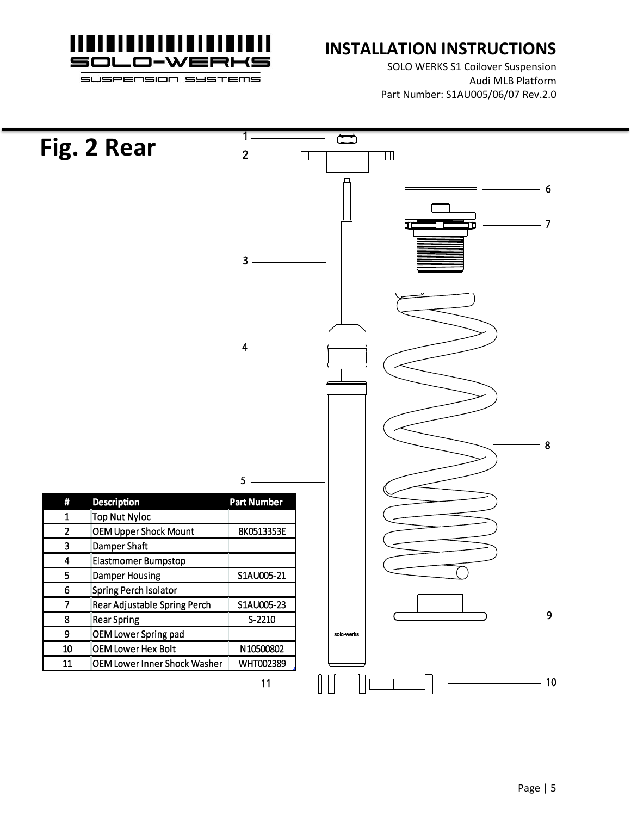

### **INSTALLATION INSTRUCTIONS**

SOLO WERKS S1 Coilover Suspension Audi MLB Platform Part Number: S1AU005/06/07 Rev.2.0

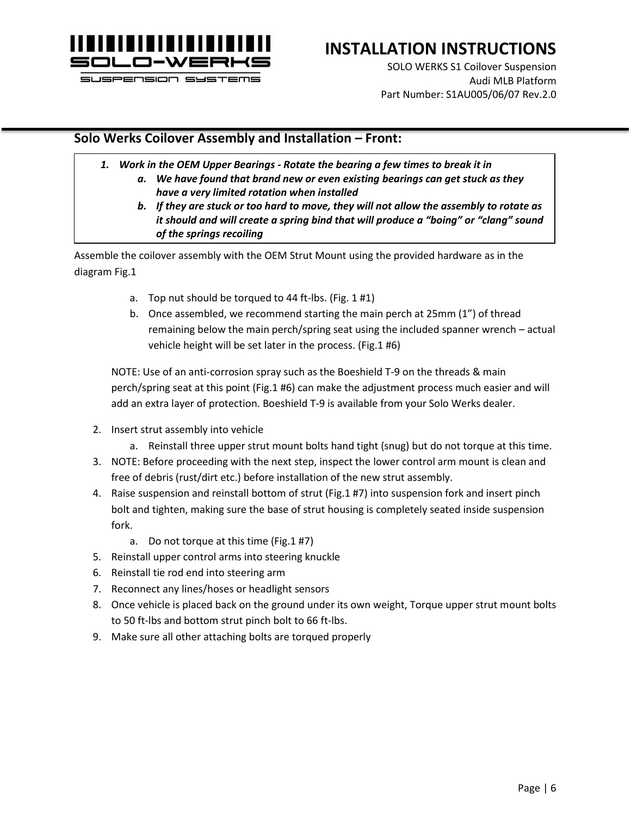

# **INSTALLATION INSTRUCTIONS**

SOLO WERKS S1 Coilover Suspension Audi MLB Platform Part Number: S1AU005/06/07 Rev.2.0

### **Solo Werks Coilover Assembly and Installation – Front:**

- *1. Work in the OEM Upper Bearings - Rotate the bearing a few times to break it in a. We have found that brand new or even existing bearings can get stuck as they have a very limited rotation when installed*
	- *b. If they are stuck or too hard to move, they will not allow the assembly to rotate as it should and will create a spring bind that will produce a "boing" or "clang" sound of the springs recoiling*

Assemble the coilover assembly with the OEM Strut Mount using the provided hardware as in the diagram Fig.1

- a. Top nut should be torqued to 44 ft-lbs. (Fig. 1 #1)
- b. Once assembled, we recommend starting the main perch at 25mm (1") of thread remaining below the main perch/spring seat using the included spanner wrench – actual vehicle height will be set later in the process. (Fig.1 #6)

NOTE: Use of an anti-corrosion spray such as the Boeshield T-9 on the threads & main perch/spring seat at this point (Fig.1 #6) can make the adjustment process much easier and will add an extra layer of protection. Boeshield T-9 is available from your Solo Werks dealer.

- 2. Insert strut assembly into vehicle
	- a. Reinstall three upper strut mount bolts hand tight (snug) but do not torque at this time.
- 3. NOTE: Before proceeding with the next step, inspect the lower control arm mount is clean and free of debris (rust/dirt etc.) before installation of the new strut assembly.
- 4. Raise suspension and reinstall bottom of strut (Fig.1 #7) into suspension fork and insert pinch bolt and tighten, making sure the base of strut housing is completely seated inside suspension fork.
	- a. Do not torque at this time (Fig.1 #7)
- 5. Reinstall upper control arms into steering knuckle
- 6. Reinstall tie rod end into steering arm
- 7. Reconnect any lines/hoses or headlight sensors
- 8. Once vehicle is placed back on the ground under its own weight, Torque upper strut mount bolts to 50 ft-lbs and bottom strut pinch bolt to 66 ft-lbs.
- 9. Make sure all other attaching bolts are torqued properly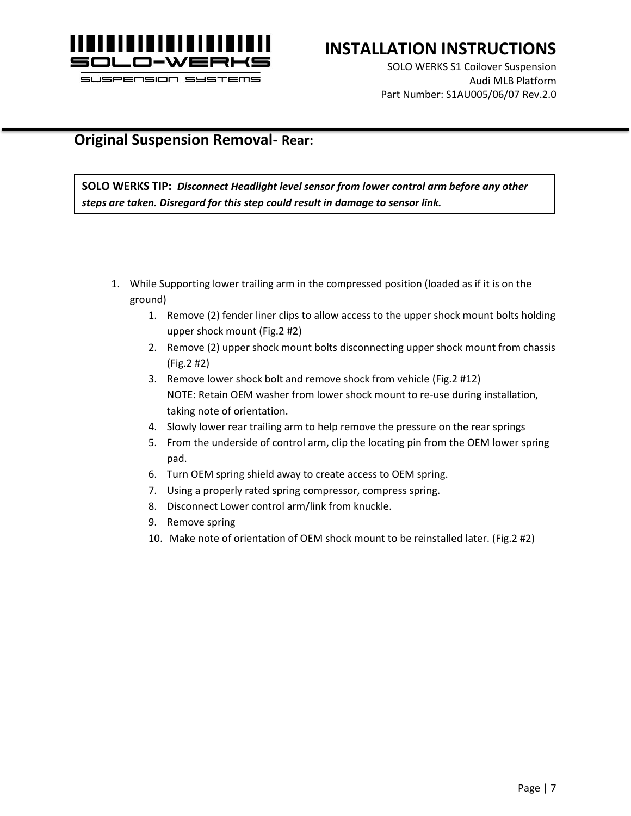

## **INSTALLATION INSTRUCTIONS**

SOLO WERKS S1 Coilover Suspension Audi MLB Platform Part Number: S1AU005/06/07 Rev.2.0

### **Original Suspension Removal- Rear:**

**SOLO WERKS TIP:** *Disconnect Headlight level sensor from lower control arm before any other steps are taken. Disregard for this step could result in damage to sensor link.*

- 1. While Supporting lower trailing arm in the compressed position (loaded as if it is on the ground)
	- 1. Remove (2) fender liner clips to allow access to the upper shock mount bolts holding upper shock mount (Fig.2 #2)
	- 2. Remove (2) upper shock mount bolts disconnecting upper shock mount from chassis (Fig.2 #2)
	- 3. Remove lower shock bolt and remove shock from vehicle (Fig.2 #12) NOTE: Retain OEM washer from lower shock mount to re-use during installation, taking note of orientation.
	- 4. Slowly lower rear trailing arm to help remove the pressure on the rear springs
	- 5. From the underside of control arm, clip the locating pin from the OEM lower spring pad.
	- 6. Turn OEM spring shield away to create access to OEM spring.
	- 7. Using a properly rated spring compressor, compress spring.
	- 8. Disconnect Lower control arm/link from knuckle.
	- 9. Remove spring
	- 10. Make note of orientation of OEM shock mount to be reinstalled later. (Fig.2 #2)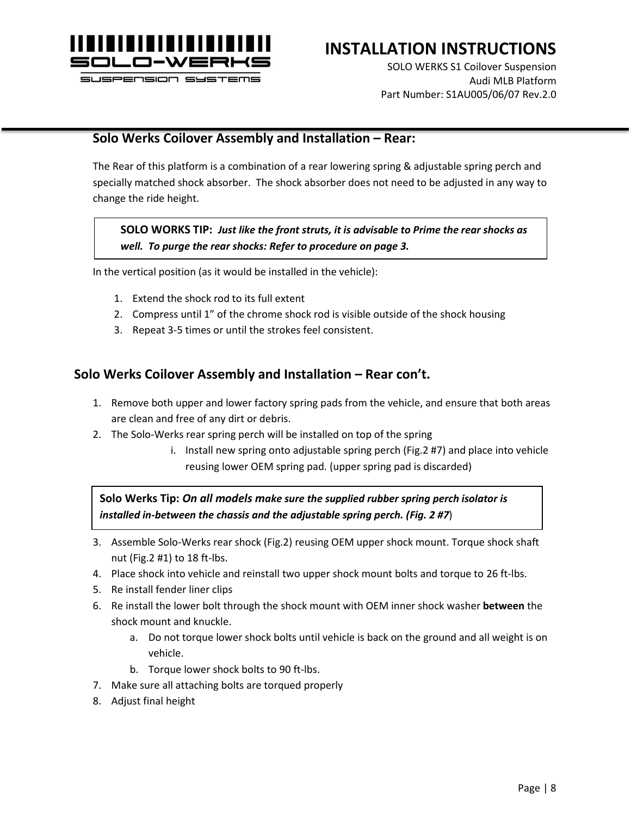

# **INSTALLATION INSTRUCTIONS**

SOLO WERKS S1 Coilover Suspension Audi MLB Platform Part Number: S1AU005/06/07 Rev.2.0

#### **Solo Werks Coilover Assembly and Installation – Rear:**

The Rear of this platform is a combination of a rear lowering spring & adjustable spring perch and specially matched shock absorber. The shock absorber does not need to be adjusted in any way to change the ride height.

#### **SOLO WORKS TIP:** *Just like the front struts, it is advisable to Prime the rear shocks as well. To purge the rear shocks: Refer to procedure on page 3.*

In the vertical position (as it would be installed in the vehicle):

- 1. Extend the shock rod to its full extent
- 2. Compress until 1" of the chrome shock rod is visible outside of the shock housing
- 3. Repeat 3-5 times or until the strokes feel consistent.

#### **Solo Werks Coilover Assembly and Installation – Rear con't.**

- 1. Remove both upper and lower factory spring pads from the vehicle, and ensure that both areas are clean and free of any dirt or debris.
- 2. The Solo-Werks rear spring perch will be installed on top of the spring
	- i. Install new spring onto adjustable spring perch (Fig.2 #7) and place into vehicle reusing lower OEM spring pad. (upper spring pad is discarded)

**Solo Werks Tip:** *On all models make sure the supplied rubber spring perch isolator is installed in-between the chassis and the adjustable spring perch. (Fig. 2 #7*)

- 3. Assemble Solo-Werks rear shock (Fig.2) reusing OEM upper shock mount. Torque shock shaft nut (Fig.2 #1) to 18 ft-lbs.
- 4. Place shock into vehicle and reinstall two upper shock mount bolts and torque to 26 ft-lbs.
- 5. Re install fender liner clips
- 6. Re install the lower bolt through the shock mount with OEM inner shock washer **between** the shock mount and knuckle.
	- a. Do not torque lower shock bolts until vehicle is back on the ground and all weight is on vehicle.
	- b. Torque lower shock bolts to 90 ft-lbs.
- 7. Make sure all attaching bolts are torqued properly
- 8. Adjust final height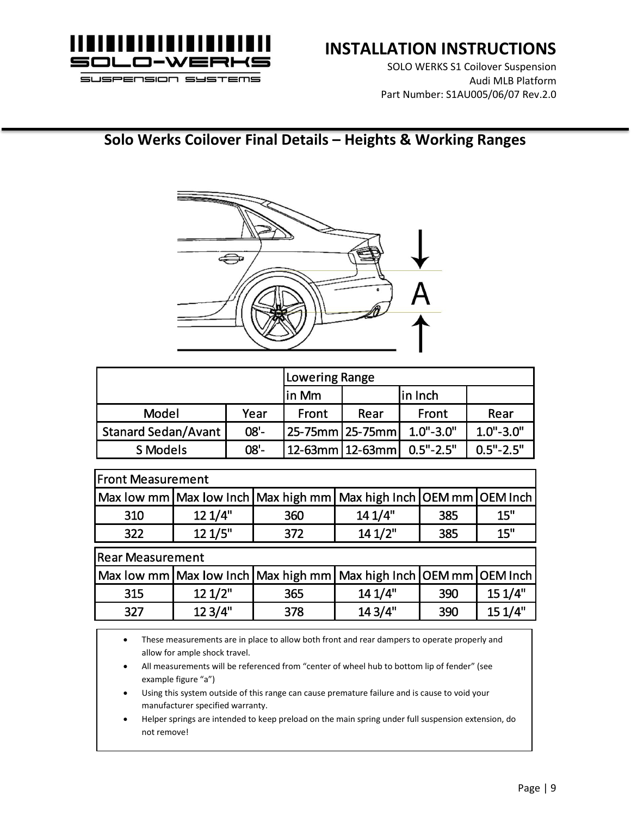

# **INSTALLATION INSTRUCTIONS**

SOLO WERKS S1 Coilover Suspension Audi MLB Platform Part Number: S1AU005/06/07 Rev.2.0

# **Solo Werks Coilover Final Details – Heights & Working Ranges**



|                            |        | Lowering Range    |                 |               |               |
|----------------------------|--------|-------------------|-----------------|---------------|---------------|
|                            |        | $\ln Mm$          |                 | in Inch       |               |
| Model                      | Year   | Front             | Rear            | Front         | Rear          |
| <b>Stanard Sedan/Avant</b> | $08 -$ |                   | 25-75mm 25-75mm | $1.0" - 3.0"$ | $1.0" - 3.0"$ |
| S Models                   | $08 -$ | 12-63mm   12-63mm |                 | $0.5" - 2.5"$ | $0.5" - 2.5"$ |

| <b>Front Measurement</b> |         |     |                                                                             |     |         |  |  |
|--------------------------|---------|-----|-----------------------------------------------------------------------------|-----|---------|--|--|
|                          |         |     | Max low mm   Max low Inch   Max high mm   Max high Inch   OEM mm   OEM Inch |     |         |  |  |
| 310                      | 12 1/4" | 360 | 141/4"                                                                      | 385 | 15"     |  |  |
| 322                      | 121/5"  | 372 | 141/2"                                                                      | 385 | 15"     |  |  |
| <b>Rear Measurement</b>  |         |     |                                                                             |     |         |  |  |
|                          |         |     | Max low mm   Max low Inch   Max high mm   Max high Inch   OEM mm   OEM Inch |     |         |  |  |
| 315                      | 121/2"  | 365 | 14 1/4"                                                                     | 390 | 15 1/4" |  |  |
| 327                      | 12 3/4" | 378 | 14 3/4"                                                                     | 390 | 151/4"  |  |  |

• These measurements are in place to allow both front and rear dampers to operate properly and allow for ample shock travel.

- All measurements will be referenced from "center of wheel hub to bottom lip of fender" (see example figure "a")
- Using this system outside of this range can cause premature failure and is cause to void your manufacturer specified warranty.
- Helper springs are intended to keep preload on the main spring under full suspension extension, do not remove!